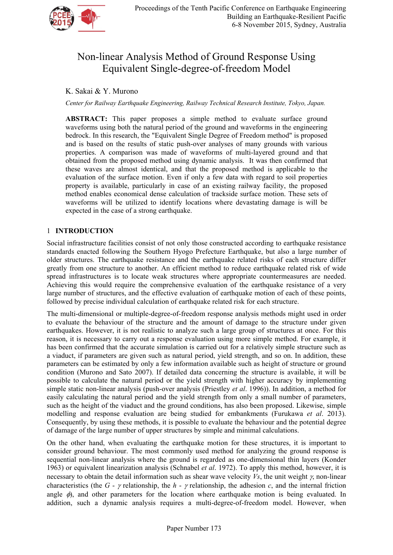

# Non-linear Analysis Method of Ground Response Using Equivalent Single-degree-of-freedom Model

# K. Sakai & Y. Murono

*Center for Railway Earthquake Engineering, Railway Technical Research Institute, Tokyo, Japan.* 

**ABSTRACT:** This paper proposes a simple method to evaluate surface ground waveforms using both the natural period of the ground and waveforms in the engineering bedrock. In this research, the "Equivalent Single Degree of Freedom method" is proposed and is based on the results of static push-over analyses of many grounds with various properties. A comparison was made of waveforms of multi-layered ground and that obtained from the proposed method using dynamic analysis. It was then confirmed that these waves are almost identical, and that the proposed method is applicable to the evaluation of the surface motion. Even if only a few data with regard to soil properties property is available, particularly in case of an existing railway facility, the proposed method enables economical dense calculation of trackside surface motion. These sets of waveforms will be utilized to identify locations where devastating damage is will be expected in the case of a strong earthquake.

## 1 **INTRODUCTION**

Social infrastructure facilities consist of not only those constructed according to earthquake resistance standards enacted following the Southern Hyogo Prefecture Earthquake, but also a large number of older structures. The earthquake resistance and the earthquake related risks of each structure differ greatly from one structure to another. An efficient method to reduce earthquake related risk of wide spread infrastructures is to locate weak structures where appropriate countermeasures are needed. Achieving this would require the comprehensive evaluation of the earthquake resistance of a very large number of structures, and the effective evaluation of earthquake motion of each of these points, followed by precise individual calculation of earthquake related risk for each structure.

The multi-dimensional or multiple-degree-of-freedom response analysis methods might used in order to evaluate the behaviour of the structure and the amount of damage to the structure under given earthquakes. However, it is not realistic to analyze such a large group of structures at once. For this reason, it is necessary to carry out a response evaluation using more simple method. For example, it has been confirmed that the accurate simulation is carried out for a relatively simple structure such as a viaduct, if parameters are given such as natural period, yield strength, and so on. In addition, these parameters can be estimated by only a few information available such as height of structure or ground condition (Murono and Sato 2007). If detailed data concerning the structure is available, it will be possible to calculate the natural period or the yield strength with higher accuracy by implementing simple static non-linear analysis (push-over analysis (Priestley *et al*. 1996)). In addition, a method for easily calculating the natural period and the yield strength from only a small number of parameters, such as the height of the viaduct and the ground conditions, has also been proposed. Likewise, simple modelling and response evaluation are being studied for embankments (Furukawa *et al*. 2013). Consequently, by using these methods, it is possible to evaluate the behaviour and the potential degree of damage of the large number of upper structures by simple and minimal calculations.

On the other hand, when evaluating the earthquake motion for these structures, it is important to consider ground behaviour. The most commonly used method for analyzing the ground response is sequential non-linear analysis where the ground is regarded as one-dimensional thin layers (Konder 1963) or equivalent linearization analysis (Schnabel *et al*. 1972). To apply this method, however, it is necessary to obtain the detail information such as shear wave velocity  $V_s$ , the unit weight  $\gamma$ , non-linear characteristics (the  $G - \gamma$  relationship, the  $h - \gamma$  relationship, the adhesion *c*, and the internal friction angle  $\phi$ , and other parameters for the location where earthquake motion is being evaluated. In addition, such a dynamic analysis requires a multi-degree-of-freedom model. However, when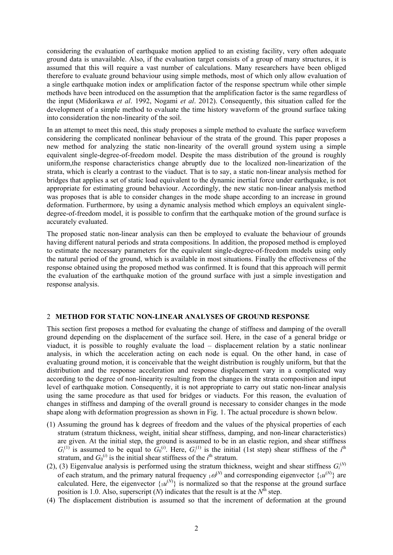considering the evaluation of earthquake motion applied to an existing facility, very often adequate ground data is unavailable. Also, if the evaluation target consists of a group of many structures, it is assumed that this will require a vast number of calculations. Many researchers have been obliged therefore to evaluate ground behaviour using simple methods, most of which only allow evaluation of a single earthquake motion index or amplification factor of the response spectrum while other simple methods have been introduced on the assumption that the amplification factor is the same regardless of the input (Midorikawa *et al*. 1992, Nogami *et al*. 2012). Consequently, this situation called for the development of a simple method to evaluate the time history waveform of the ground surface taking into consideration the non-linearity of the soil.

In an attempt to meet this need, this study proposes a simple method to evaluate the surface waveform considering the complicated nonlinear behaviour of the strata of the ground. This paper proposes a new method for analyzing the static non-linearity of the overall ground system using a simple equivalent single-degree-of-freedom model. Despite the mass distribution of the ground is roughly uniform,the response characteristics change abruptly due to the localized non-linearization of the strata, which is clearly a contrast to the viaduct. That is to say, a static non-linear analysis method for bridges that applies a set of static load equivalent to the dynamic inertial force under earthquake, is not appropriate for estimating ground behaviour. Accordingly, the new static non-linear analysis method was proposes that is able to consider changes in the mode shape according to an increase in ground deformation. Furthermore, by using a dynamic analysis method which employs an equivalent singledegree-of-freedom model, it is possible to confirm that the earthquake motion of the ground surface is accurately evaluated.

The proposed static non-linear analysis can then be employed to evaluate the behaviour of grounds having different natural periods and strata compositions. In addition, the proposed method is employed to estimate the necessary parameters for the equivalent single-degree-of-freedom models using only the natural period of the ground, which is available in most situations. Finally the effectiveness of the response obtained using the proposed method was confirmed. It is found that this approach will permit the evaluation of the earthquake motion of the ground surface with just a simple investigation and response analysis.

#### 2 **METHOD FOR STATIC NON-LINEAR ANALYSES OF GROUND RESPONSE**

This section first proposes a method for evaluating the change of stiffness and damping of the overall ground depending on the displacement of the surface soil. Here, in the case of a general bridge or viaduct, it is possible to roughly evaluate the load – displacement relation by a static nonlinear analysis, in which the acceleration acting on each node is equal. On the other hand, in case of evaluating ground motion, it is conceivable that the weight distribution is roughly uniform, but that the distribution and the response acceleration and response displacement vary in a complicated way according to the degree of non-linearity resulting from the changes in the strata composition and input level of earthquake motion. Consequently, it is not appropriate to carry out static non-linear analysis using the same procedure as that used for bridges or viaducts. For this reason, the evaluation of changes in stiffness and damping of the overall ground is necessary to consider changes in the mode shape along with deformation progression as shown in Fig. 1. The actual procedure is shown below.

- (1) Assuming the ground has k degrees of freedom and the values of the physical properties of each stratum (stratum thickness, weight, initial shear stiffness, damping, and non-linear characteristics) are given. At the initial step, the ground is assumed to be in an elastic region, and shear stiffness  $G_i^{(1)}$  is assumed to be equal to  $G_0^{(i)}$ . Here,  $G_i^{(1)}$  is the initial (1st step) shear stiffness of the *i*<sup>th</sup> stratum, and  $G_0^{(i)}$  is the initial shear stiffness of the  $i^{\text{th}}$  stratum.
- (2), (3) Eigenvalue analysis is performed using the stratum thickness, weight and shear stiffness  $G_i^{(N)}$ of each stratum, and the primary natural frequency  $_1\omega^{(N)}$  and corresponding eigenvector  $\{_1u^{(N)}\}$  are calculated. Here, the eigenvector  $\{u^{(N)}\}$  is normalized so that the response at the ground surface position is 1.0. Also, superscript  $(N)$  indicates that the result is at the  $N^{\hat{\text{th}}}$  step.
- (4) The displacement distribution is assumed so that the increment of deformation at the ground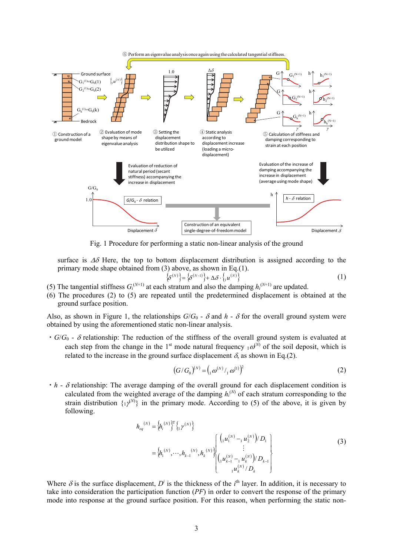

Fig. 1 Procedure for performing a static non-linear analysis of the ground

surface is  $\Delta\delta$  Here, the top to bottom displacement distribution is assigned according to the primary mode shape obtained from (3) above, as shown in Eq.(1).

$$
\left\{\delta^{(N)}\right\} = \left\{\delta^{(N-1)}\right\} + \Delta \delta \cdot \left\{ \left\{ u^{(N)}\right\} \right\} \tag{1}
$$

- (5) The tangential stiffness  $G_i^{(N+1)}$  at each stratum and also the damping  $h_i^{(N+1)}$  are updated.
- (6) The procedures (2) to (5) are repeated until the predetermined displacement is obtained at the ground surface position.

Also, as shown in Figure 1, the relationships  $G/G_0$  -  $\delta$  and  $h$  -  $\delta$  for the overall ground system were obtained by using the aforementioned static non-linear analysis.

 $\cdot$  *G*/ $G_0$  -  $\delta$  relationship: The reduction of the stiffness of the overall ground system is evaluated at each step from the change in the 1<sup>st</sup> mode natural frequency  $_1\omega^{(N)}$  of the soil deposit, which is related to the increase in the ground surface displacement  $\delta$ , as shown in Eq.(2).

$$
(G/G_0)^{(N)} = ( {}_{1} \omega^{(N)} / {}_{1} \omega^{(1)})^2
$$
 (2)

 $\cdot h$  -  $\delta$  relationship: The average damping of the overall ground for each displacement condition is calculated from the weighted average of the damping  $h_i^{(N)}$  of each stratum corresponding to the strain distribution  $\{1\}^{(N)}\}$  in the primary mode. According to (5) of the above, it is given by following.

$$
h_{eq}^{(N)} = \left\{ h_i^{(N)} \right\}^{\mathrm{T}} \left\{ {}_{1} \gamma^{(N)} \right\}
$$
  
= 
$$
\left\{ h_i^{(N)}, \cdots, h_{k-1}^{(N)}, h_k^{(N)} \right\} \left\{ \begin{matrix} \left( {}_{1} u_1^{(N)} - {}_{1} u_2^{(N)} \right) / D_1 \\ \vdots \\ \left( {}_{1} u_{k-1}^{(N)} - {}_{1} u_k^{(N)} \right) / D_{k-1} \\ {}_{1} u_k^{(N)} / D_k \end{matrix} \right\}
$$
(3)

Where  $\delta$  is the surface displacement,  $D^i$  is the thickness of the  $i^{\text{th}}$  layer. In addition, it is necessary to take into consideration the participation function (*PF*) in order to convert the response of the primary mode into response at the ground surface position. For this reason, when performing the static non-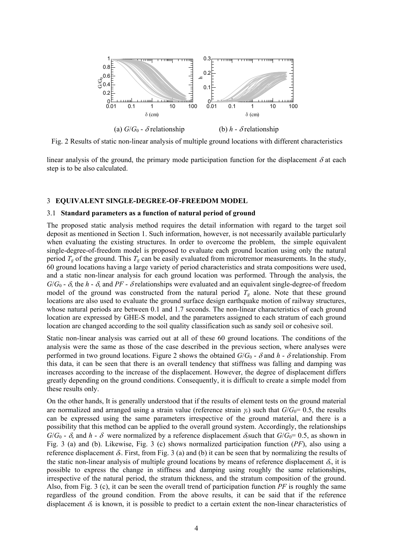

Fig. 2 Results of static non-linear analysis of multiple ground locations with different characteristics

linear analysis of the ground, the primary mode participation function for the displacement  $\delta$  at each step is to be also calculated.

#### 3 **EQUIVALENT SINGLE-DEGREE-OF-FREEDOM MODEL**

#### 3.1 **Standard parameters as a function of natural period of ground**

The proposed static analysis method requires the detail information with regard to the target soil deposit as mentioned in Section 1. Such information, however, is not necessarily available particularly when evaluating the existing structures. In order to overcome the problem, the simple equivalent single-degree-of-freedom model is proposed to evaluate each ground location using only the natural period  $T_g$  of the ground. This  $T_g$  can be easily evaluated from microtremor measurements. In the study, 60 ground locations having a large variety of period characteristics and strata compositions were used, and a static non-linear analysis for each ground location was performed. Through the analysis, the  $G/G_0$  -  $\delta$ , the  $h$  -  $\delta$ , and PF -  $\delta$  relationships were evaluated and an equivalent single-degree-of freedom model of the ground was constructed from the natural period  $T_g$  alone. Note that these ground locations are also used to evaluate the ground surface design earthquake motion of railway structures, whose natural periods are between 0.1 and 1.7 seconds. The non-linear characteristics of each ground location are expressed by GHE-S model, and the parameters assigned to each stratum of each ground location are changed according to the soil quality classification such as sandy soil or cohesive soil.

Static non-linear analysis was carried out at all of these 60 ground locations. The conditions of the analysis were the same as those of the case described in the previous section, where analyses were performed in two ground locations. Figure 2 shows the obtained  $G/G_0$  -  $\delta$  and  $h$  -  $\delta$  relationship. From this data, it can be seen that there is an overall tendency that stiffness was falling and damping was increases according to the increase of the displacement. However, the degree of displacement differs greatly depending on the ground conditions. Consequently, it is difficult to create a simple model from these results only.

On the other hands, It is generally understood that if the results of element tests on the ground material are normalized and arranged using a strain value (reference strain  $\gamma$ ) such that  $G/G_0= 0.5$ , the results can be expressed using the same parameters irrespective of the ground material, and there is a possibility that this method can be applied to the overall ground system. Accordingly, the relationships  $G/G_0$  -  $\delta$ , and *h* -  $\delta$  were normalized by a reference displacement  $\delta_r$ such that  $G/G_0$ = 0.5, as shown in Fig. 3 (a) and (b). Likewise, Fig. 3 (c) shows normalized participation function (*PF*), also using a reference displacement  $\delta_r$ . First, from Fig. 3 (a) and (b) it can be seen that by normalizing the results of the static non-linear analysis of multiple ground locations by means of reference displacement  $\delta_r$ , it is possible to express the change in stiffness and damping using roughly the same relationships, irrespective of the natural period, the stratum thickness, and the stratum composition of the ground. Also, from Fig. 3 (c), it can be seen the overall trend of participation function *PF* is roughly the same regardless of the ground condition. From the above results, it can be said that if the reference displacement  $\delta_r$  is known, it is possible to predict to a certain extent the non-linear characteristics of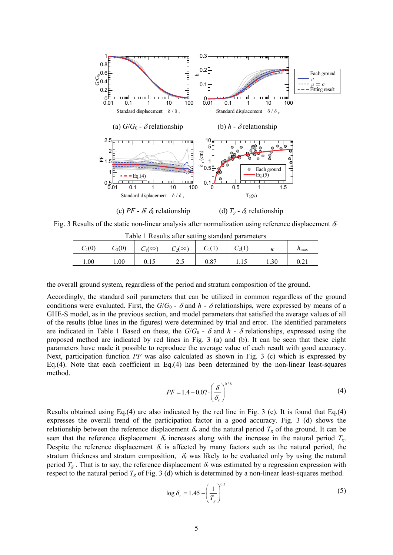

Fig. 3 Results of the static non-linear analysis after normalization using reference displacement  $\delta$ 

| Table 1 Results after setting standard parameters |          |               |               |      |          |  |            |
|---------------------------------------------------|----------|---------------|---------------|------|----------|--|------------|
| $C_1(0)$                                          | $C_2(0)$ | $C_1(\infty)$ | $C_2(\infty)$ |      | $C_2(1)$ |  | $n_{\max}$ |
| $1.00\,$                                          | 00.1     | 0.15          |               | 0.87 |          |  |            |

the overall ground system, regardless of the period and stratum composition of the ground.

Accordingly, the standard soil parameters that can be utilized in common regardless of the ground conditions were evaluated. First, the  $G/G_0$  -  $\delta$  and  $h$  -  $\delta$  relationships, were expressed by means of a GHE-S model, as in the previous section, and model parameters that satisfied the average values of all of the results (blue lines in the figures) were determined by trial and error. The identified parameters are indicated in Table 1 Based on these, the  $G/G_0$  -  $\delta$  and  $h$  -  $\delta$  relationships, expressed using the proposed method are indicated by red lines in Fig. 3 (a) and (b). It can be seen that these eight parameters have made it possible to reproduce the average value of each result with good accuracy. Next, participation function *PF* was also calculated as shown in Fig. 3 (c) which is expressed by Eq.(4). Note that each coefficient in Eq.(4) has been determined by the non-linear least-squares method.

$$
PF = 1.4 - 0.07 \cdot \left(\frac{\delta}{\delta_r}\right)^{0.38}
$$
 (4)

Results obtained using Eq.(4) are also indicated by the red line in Fig. 3 (c). It is found that Eq.(4) expresses the overall trend of the participation factor in a good accuracy. Fig. 3 (d) shows the relationship between the reference displacement  $\delta_r$  and the natural period  $T_g$  of the ground. It can be seen that the reference displacement  $\delta_r$  increases along with the increase in the natural period  $T_g$ . Despite the reference displacement  $\delta_r$  is affected by many factors such as the natural period, the stratum thickness and stratum composition,  $\delta$  was likely to be evaluated only by using the natural period  $T_g$ . That is to say, the reference displacement  $\delta_r$  was estimated by a regression expression with respect to the natural period  $T_g$  of Fig. 3 (d) which is determined by a non-linear least-squares method.

$$
\log \delta_r = 1.45 - \left(\frac{1}{T_g}\right)^{0.3} \tag{5}
$$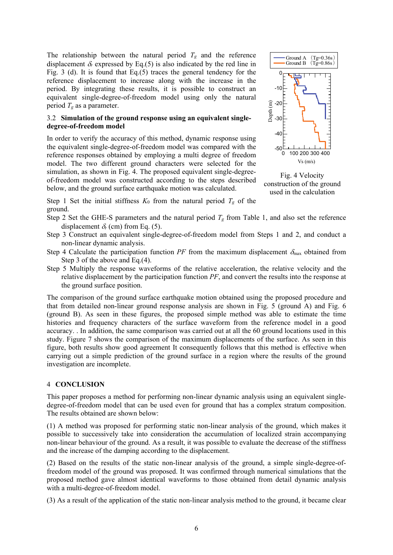The relationship between the natural period  $T_g$  and the reference displacement  $\delta_r$  expressed by Eq.(5) is also indicated by the red line in Fig. 3 (d). It is found that Eq.(5) traces the general tendency for the reference displacement to increase along with the increase in the period. By integrating these results, it is possible to construct an equivalent single-degree-of-freedom model using only the natural period *Tg* as a parameter.

## 3.2 **Simulation of the ground response using an equivalent singledegree-of-freedom model**

In order to verify the accuracy of this method, dynamic response using the equivalent single-degree-of-freedom model was compared with the reference responses obtained by employing a multi degree of freedom model. The two different ground characters were selected for the simulation, as shown in Fig. 4. The proposed equivalent single-degreeof-freedom model was constructed according to the steps described below, and the ground surface earthquake motion was calculated.

0 100 200 300 400 -50 -40 E<br>d<br>D<br>30<br>30  $\widehat{E}$ -20  $-10$ 0 Vs (m/s) Ground A  $(Tg=0.36s)$ Ground B  $(Tg=0.86s)$ 

Fig. 4 Velocity construction of the ground used in the calculation

Step 1 Set the initial stiffness  $K_0$  from the natural period  $T_g$  of the ground.

- Step 2 Set the GHE-S parameters and the natural period  $T_g$  from Table 1, and also set the reference displacement  $\delta_r$  (cm) from Eq. (5).
- Step 3 Construct an equivalent single-degree-of-freedom model from Steps 1 and 2, and conduct a non-linear dynamic analysis.
- Step 4 Calculate the participation function PF from the maximum displacement  $\delta_{\text{max}}$  obtained from Step 3 of the above and Eq.(4).
- Step 5 Multiply the response waveforms of the relative acceleration, the relative velocity and the relative displacement by the participation function *PF*, and convert the results into the response at the ground surface position.

The comparison of the ground surface earthquake motion obtained using the proposed procedure and that from detailed non-linear ground response analysis are shown in Fig. 5 (ground A) and Fig. 6 (ground B). As seen in these figures, the proposed simple method was able to estimate the time histories and frequency characters of the surface waveform from the reference model in a good accuracy. . In addition, the same comparison was carried out at all the 60 ground locations used in this study. Figure 7 shows the comparison of the maximum displacements of the surface. As seen in this figure, both results show good agreement It consequently follows that this method is effective when carrying out a simple prediction of the ground surface in a region where the results of the ground investigation are incomplete.

## 4 **CONCLUSION**

This paper proposes a method for performing non-linear dynamic analysis using an equivalent singledegree-of-freedom model that can be used even for ground that has a complex stratum composition. The results obtained are shown below:

(1) A method was proposed for performing static non-linear analysis of the ground, which makes it possible to successively take into consideration the accumulation of localized strain accompanying non-linear behaviour of the ground. As a result, it was possible to evaluate the decrease of the stiffness and the increase of the damping according to the displacement.

(2) Based on the results of the static non-linear analysis of the ground, a simple single-degree-offreedom model of the ground was proposed. It was confirmed through numerical simulations that the proposed method gave almost identical waveforms to those obtained from detail dynamic analysis with a multi-degree-of-freedom model.

(3) As a result of the application of the static non-linear analysis method to the ground, it became clear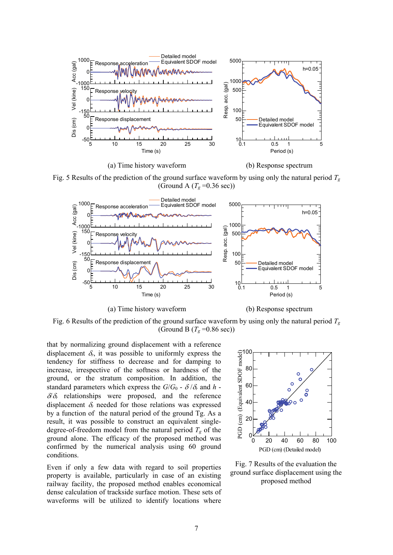

Fig. 5 Results of the prediction of the ground surface waveform by using only the natural period  $T_g$ (Ground A  $(T_g=0.36 \text{ sec})$ )



Fig. 6 Results of the prediction of the ground surface waveform by using only the natural period  $T_g$ (Ground B  $(T_g = 0.86 \text{ sec})$ )

that by normalizing ground displacement with a reference displacement  $\delta_r$ , it was possible to uniformly express the tendency for stiffness to decrease and for damping to increase, irrespective of the softness or hardness of the ground, or the stratum composition. In addition, the standard parameters which express the  $G/G_0$  -  $\delta/\delta_r$  and  $h$  - $\delta/\delta_r$  relationships were proposed, and the reference displacement  $\delta_r$  needed for those relations was expressed by a function of the natural period of the ground Tg. As a result, it was possible to construct an equivalent singledegree-of-freedom model from the natural period  $T_g$  of the ground alone. The efficacy of the proposed method was confirmed by the numerical analysis using 60 ground conditions.

Even if only a few data with regard to soil properties property is available, particularly in case of an existing railway facility, the proposed method enables economical dense calculation of trackside surface motion. These sets of waveforms will be utilized to identify locations where